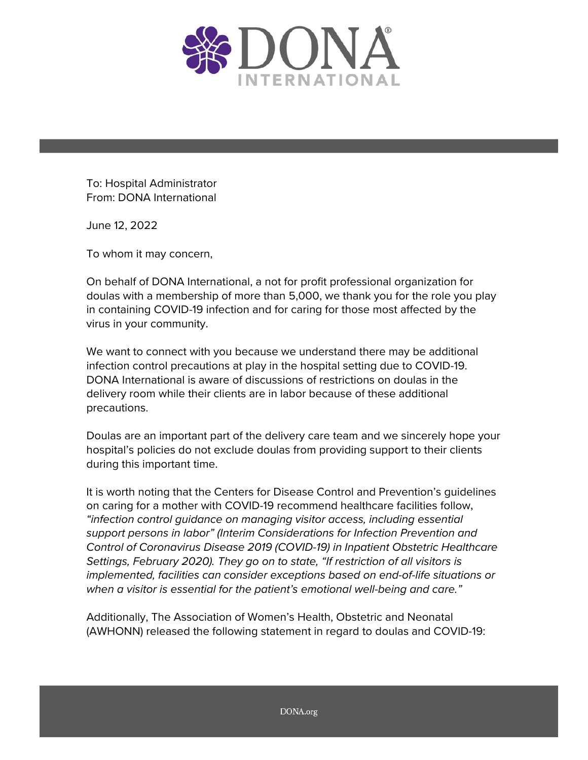

To: Hospital Administrator From: DONA International

June 12, 2022

To whom it may concern,

On behalf of DONA International, a not for profit professional organization for doulas with a membership of more than 5,000, we thank you for the role you play in containing COVID-19 infection and for caring for those most affected by the virus in your community.

We want to connect with you because we understand there may be additional infection control precautions at play in the hospital setting due to COVID-19. DONA International is aware of discussions of restrictions on doulas in the delivery room while their clients are in labor because of these additional precautions.

Doulas are an important part of the delivery care team and we sincerely hope your hospital's policies do not exclude doulas from providing support to their clients during this important time.

It is worth noting that the Centers for Disease Control and Prevention's guidelines on caring for a mother with COVID-19 recommend healthcare facilities follow, *"infection control guidance on managing visitor access, including essential support person*s *in labor" (Interim Considerations for Infection Prevention and Control of Coronavirus Disease 2019 (COVID-19) in Inpatient Obstetric Healthcare Settings, February 2020). They go on to state, "If restriction of all visitors is implemented, facilities can consider exceptions based on end-of-life situations or when a visitor is essential for the patient's emotional well-being and care."*

Additionally, The Association of Women's Health, Obstetric and Neonatal (AWHONN) released the following statement in regard to doulas and COVID-19: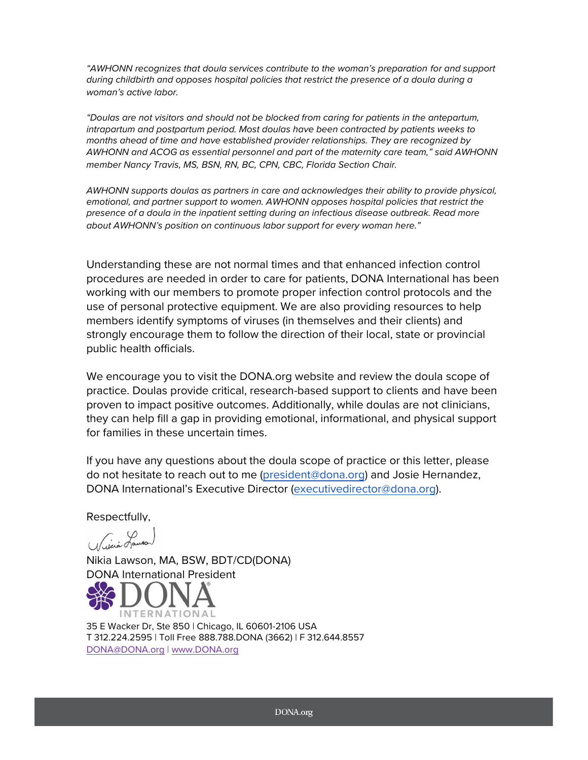"AWHONN recognizes that doula services contribute to the woman's preparation for and support *during childbirth and opposes hospital policies that restrict the presence of a doula during a woman's active labor.*

*"Doulas are not visitors and should not be blocked from caring for patients in the antepartum, intrapartum and postpartum period. Most doulas have been contracted by patients weeks to months ahead of time and have established provider relationships. They are recognized by AWHONN and ACOG as essential personnel and part of the maternity care team," said AWHONN member Nancy Travis, MS, BSN, RN, BC, CPN, CBC, Florida Section Chair.*

*AWHONN supports doulas as partners in care and acknowledges their ability to provide physical,*  emotional, and partner support to women. AWHONN opposes hospital policies that restrict the *presence of a doula in the inpatient setting during an infectious disease outbreak. Read more about AWHONN's position on continuous labor support for every woman here."*

Understanding these are not normal times and that enhanced infection control procedures are needed in order to care for patients, DONA International has been working with our members to promote proper infection control protocols and the use of personal protective equipment. We are also providing resources to help members identify symptoms of viruses (in themselves and their clients) and strongly encourage them to follow the direction of their local, state or provincial public health officials.

We encourage you to visit the DONA.org website and review the doula scope of practice. Doulas provide critical, research-based support to clients and have been proven to impact positive outcomes. Additionally, while doulas are not clinicians, they can help fill a gap in providing emotional, informational, and physical support for families in these uncertain times.

If you have any questions about the doula scope of practice or this letter, please do not hesitate to reach out to me [\(president@dona.org\)](mailto:president@dona.org) and Josie Hernandez, DONA International's Executive Director ([executivedirector@dona.org](mailto:executivedirector@dona.org)).

Respectfully,

Wikia Lausan

Nikia Lawson, MA, BSW, BDT/CD(DONA) DONA International President



35 E Wacker Dr, Ste 850 | Chicago, IL 60601-2106 USA T 312.224.2595 | Toll Free 888.788.DONA (3662) | F 312.644.8557 [DONA@DONA.org](mailto:DONA@DONA.org) | [www.DONA.org](http://www.dona.org/)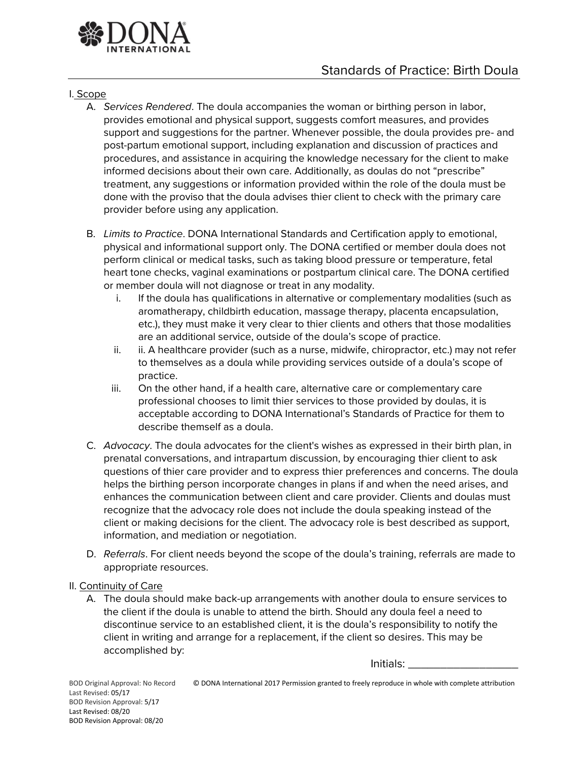

## I. Scope

- A. *Services Rendered*. The doula accompanies the woman or birthing person in labor, provides emotional and physical support, suggests comfort measures, and provides support and suggestions for the partner. Whenever possible, the doula provides pre- and post-partum emotional support, including explanation and discussion of practices and procedures, and assistance in acquiring the knowledge necessary for the client to make informed decisions about their own care. Additionally, as doulas do not "prescribe" treatment, any suggestions or information provided within the role of the doula must be done with the proviso that the doula advises thier client to check with the primary care provider before using any application.
- B. *Limits to Practice*. DONA International Standards and Certification apply to emotional, physical and informational support only. The DONA certified or member doula does not perform clinical or medical tasks, such as taking blood pressure or temperature, fetal heart tone checks, vaginal examinations or postpartum clinical care. The DONA certified or member doula will not diagnose or treat in any modality.
	- i. If the doula has qualifications in alternative or complementary modalities (such as aromatherapy, childbirth education, massage therapy, placenta encapsulation, etc.), they must make it very clear to thier clients and others that those modalities are an additional service, outside of the doula's scope of practice.
	- ii. ii. A healthcare provider (such as a nurse, midwife, chiropractor, etc.) may not refer to themselves as a doula while providing services outside of a doula's scope of practice.
	- iii. On the other hand, if a health care, alternative care or complementary care professional chooses to limit thier services to those provided by doulas, it is acceptable according to DONA International's Standards of Practice for them to describe themself as a doula.
- C. *Advocacy*. The doula advocates for the client's wishes as expressed in their birth plan, in prenatal conversations, and intrapartum discussion, by encouraging thier client to ask questions of thier care provider and to express thier preferences and concerns. The doula helps the birthing person incorporate changes in plans if and when the need arises, and enhances the communication between client and care provider. Clients and doulas must recognize that the advocacy role does not include the doula speaking instead of the client or making decisions for the client. The advocacy role is best described as support, information, and mediation or negotiation.
- D. *Referrals*. For client needs beyond the scope of the doula's training, referrals are made to appropriate resources.

## II. Continuity of Care

A. The doula should make back-up arrangements with another doula to ensure services to the client if the doula is unable to attend the birth. Should any doula feel a need to discontinue service to an established client, it is the doula's responsibility to notify the client in writing and arrange for a replacement, if the client so desires. This may be accomplished by:

Initials: \_\_\_\_\_\_\_\_\_\_\_\_\_\_\_\_\_

Last Revised: 05/17 BOD Revision Approval: 5/17 Last Revised: 08/20 BOD Revision Approval: 08/20

BOD Original Approval: No Record © DONA International 2017 Permission granted to freely reproduce in whole with complete attribution